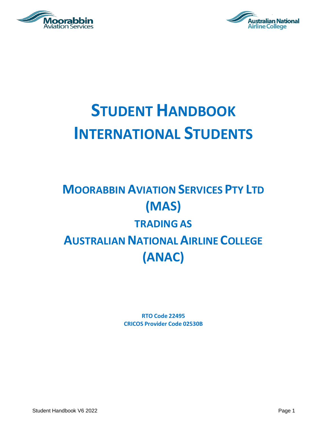



# **STUDENT HANDBOOK INTERNATIONAL STUDENTS**

# **MOORABBIN AVIATION SERVICES PTY LTD (MAS) TRADING AS AUSTRALIAN NATIONALAIRLINE COLLEGE (ANAC)**

**RTO Code 22495 CRICOS Provider Code 02530B**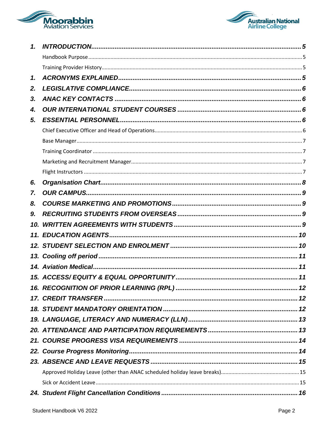



| 1.  |  |
|-----|--|
|     |  |
|     |  |
| 1.  |  |
| 2.  |  |
| 3.  |  |
| 4.  |  |
| 5.  |  |
|     |  |
|     |  |
|     |  |
|     |  |
|     |  |
| 6.  |  |
| 7.  |  |
| 8.  |  |
| 9.  |  |
| 10. |  |
|     |  |
|     |  |
|     |  |
|     |  |
|     |  |
|     |  |
|     |  |
|     |  |
|     |  |
|     |  |
|     |  |
|     |  |
|     |  |
|     |  |
|     |  |
|     |  |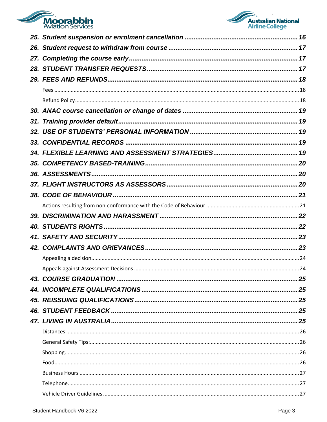

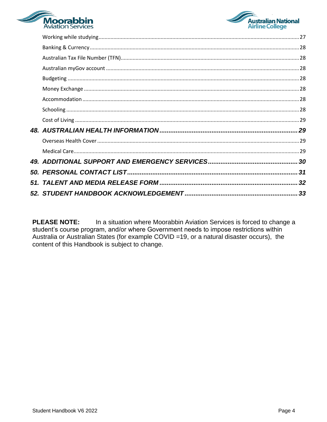



**PLEASE NOTE:** In a situation where Moorabbin Aviation Services is forced to change a student's course program, and/or where Government needs to impose restrictions within Australia or Australian States (for example COVID =19, or a natural disaster occurs), the content of this Handbook is subject to change.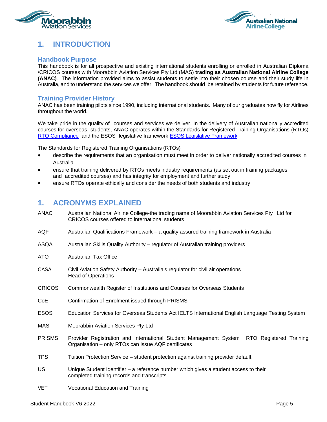<span id="page-4-0"></span>



# **1. INTRODUCTION**

#### <span id="page-4-1"></span>**Handbook Purpose**

This handbook is for all prospective and existing international students enrolling or enrolled in Australian Diploma /CRICOS courses with Moorabbin Aviation Services Pty Ltd (MAS) **trading as Australian National Airline College (ANAC)**. The information provided aims to assist students to settle into their chosen course and their study life in Australia, and to understand the services we offer. The handbook should be retained by students for future reference.

#### <span id="page-4-2"></span>**Training Provider History**

ANAC has been training pilots since 1990, including international students. Many of our graduates now fly for Airlines throughout the world.

We take pride in the quality of courses and services we deliver. In the delivery of Australian nationally accredited courses for overseas students, ANAC operates within the Standards for Registered Training Organisations (RTOs) [RTO Compliance](https://www.asqa.gov.au/rto/responsibilities/complying-legislation) and the ESOS legislative framework [ESOS Legislative Framework](https://www.asqa.gov.au/about/asqa/key-legislation/esos#:~:text=The%20ESOS%20Framework%20comprises%20the%3A%20Education%20Services%20for,and%20Training%20to%20Overseas%20Students%202018%20%28National%20Code%29)

The Standards for Registered Training Organisations (RTOs)

- describe the requirements that an organisation must meet in order to deliver nationally accredited courses in Australia
- ensure that training delivered by RTOs meets industry requirements (as set out in training packages and accredited courses) and has integrity for employment and further study
- ensure RTOs operate ethically and consider the needs of both students and industry

#### <span id="page-4-3"></span>**1. ACRONYMS EXPLAINED**

| <b>ANAC</b>   | Australian National Airline College-the trading name of Moorabbin Aviation Services Pty Ltd for<br>CRICOS courses offered to international students |  |  |
|---------------|-----------------------------------------------------------------------------------------------------------------------------------------------------|--|--|
| AQF           | Australian Qualifications Framework - a quality assured training framework in Australia                                                             |  |  |
| ASQA          | Australian Skills Quality Authority – regulator of Australian training providers                                                                    |  |  |
| ATO           | <b>Australian Tax Office</b>                                                                                                                        |  |  |
| CASA          | Civil Aviation Safety Authority – Australia's regulator for civil air operations<br><b>Head of Operations</b>                                       |  |  |
| <b>CRICOS</b> | Commonwealth Register of Institutions and Courses for Overseas Students                                                                             |  |  |
| CoE           | Confirmation of Enrolment issued through PRISMS                                                                                                     |  |  |
| <b>ESOS</b>   | Education Services for Overseas Students Act IELTS International English Language Testing System                                                    |  |  |
| <b>MAS</b>    | Moorabbin Aviation Services Pty Ltd                                                                                                                 |  |  |
| <b>PRISMS</b> | Provider Registration and International Student Management System<br>RTO Registered Training<br>Organisation - only RTOs can issue AQF certificates |  |  |
| TPS           | Tuition Protection Service – student protection against training provider default                                                                   |  |  |
| USI           | Unique Student Identifier – a reference number which gives a student access to their<br>completed training records and transcripts                  |  |  |
| <b>VET</b>    | <b>Vocational Education and Training</b>                                                                                                            |  |  |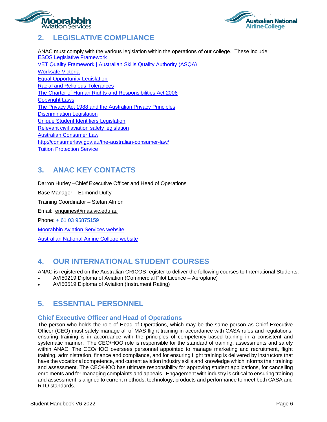<span id="page-5-0"></span>



# **2. LEGISLATIVE COMPLIANCE**

ANAC must comply with the various legislation within the operations of our college. These include: [ESOS Legislative Framework](https://internationaleducation.gov.au/regulatory-information/pages/regulatoryinformation.aspx) [VET Quality Framework | Australian Skills Quality Authority \(ASQA\)](https://www.asqa.gov.au/about/asqa/key-legislation/vet-quality-framework) [Worksafe Victoria](https://www.worksafe.vic.gov.au/laws) [Equal Opportunity Legislation](https://www.education.vic.gov.au/hrweb/divequity/Pages/default_eeo.aspx) Racial and Religious [Tolerances](https://www.humanrights.vic.gov.au/legal-and-policy/victorias-human-rights-laws/racial-and-religious-tolerance-act/) The Charter of Human Rights [and Responsibilities](https://www.humanrights.vic.gov.au/legal-and-policy/victorias-human-rights-laws/the-charter/#:~:text=The%20Charter%20of%20Human%20Rights%20and%20Responsibilities%20%28the,relationship%20between%20government%20and%20the%20people%20it%20serves.) Act 2006 [Copyright Laws](http://www8.austlii.edu.au/cgi-bin/viewdb/au/legis/cth/consol_act/ca1968133/) The Privacy Act 1988 and the [Australian](https://www.oaic.gov.au/privacy/the-privacy-act/#:~:text=The%20Privacy%20Act%201988%20%28Privacy%20Act%29%20was%20introduced,million%2C%20and%20some%20other%20organisations%2C%20handle%20personal%20information.) Privacy Principles [Discrimination Legislation](https://humanrights.gov.au/our-work/legal/legislation#Age) [Unique Student Identifiers Legislation](https://www.usi.gov.au/) Relevant [civil aviation safety](https://www.casa.gov.au/standard-page/overview-civil-aviation-safety-legislation) legislation Australian [Consumer](https://consumer.gov.au/australian-consumer-law) Law <http://consumerlaw.gov.au/the-australian-consumer-law/> [Tuition Protection Service](https://tps.gov.au/Home)

# <span id="page-5-1"></span>**3. ANAC KEY CONTACTS**

Darron Hurley –Chief Executive Officer and Head of Operations Base Manager – Edmond Dufty Training Coordinator – Stefan Almon Email: [enquiries@mas.vic.edu.au](mailto:enquiries@mas.vic.edu.au) Phone: + 61 03 95875159 [Moorabbin Aviation Services website](http://mas.vic.edu.au/) [Australian National Airline College website](https://flying-school.com/contact-us/)

# <span id="page-5-2"></span>**4. OUR INTERNATIONAL STUDENT COURSES**

ANAC is registered on the Australian CRICOS register to deliver the following courses to International Students: • AVI50219 Diploma of Aviation (Commercial Pilot Licence – Aeroplane)

• AVI50519 Diploma of Aviation (Instrument Rating)

#### <span id="page-5-3"></span>**5. ESSENTIAL PERSONNEL**

#### <span id="page-5-4"></span>**Chief Executive Officer and Head of Operations**

The person who holds the role of Head of Operations, which may be the same person as Chief Executive Officer (CEO) must safely manage all of MAS flight training in accordance with CASA rules and regulations, ensuring training is in accordance with the principles of competency-based training in a consistent and systematic manner. The CEO/HOO role is responsible for the standard of training, assessments and safety within ANAC. The CEO/HOO oversees personnel appointed to manage marketing and recruitment, flight training, administration, finance and compliance, and for ensuring flight training is delivered by instructors that have the vocational competence, and current aviation industry skills and knowledge which informs their training and assessment. The CEO/HOO has ultimate responsibility for approving student applications, for cancelling enrolments and for managing complaints and appeals. Engagement with industry is critical to ensuring training and assessment is aligned to current methods, technology, products and performance to meet both CASA and RTO standards.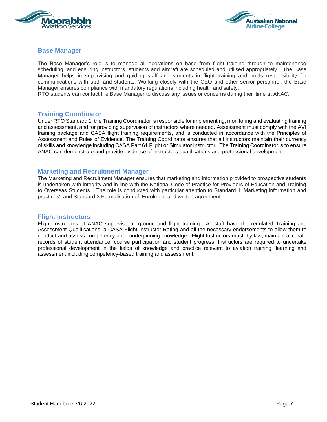



#### <span id="page-6-0"></span>**Base Manager**

The Base Manager's role is to manage all operations on base from flight training through to maintenance scheduling, and ensuring instructors, students and aircraft are scheduled and utilised appropriately. The Base Manager helps in supervising and guiding staff and students in flight training and holds responsibility for communications with staff and students. Working closely with the CEO and other senior personnel, the Base Manager ensures compliance with mandatory regulations including health and safety.

RTO students can contact the Base Manager to discuss any issues or concerns during their time at ANAC.

#### <span id="page-6-1"></span>**Training Coordinator**

Under RTO Standard 1, the Training Coordinator is responsible for implementing, monitoring and evaluating training and assessment, and for providing supervision of instructors where needed. Assessment must comply with the AVI training package and CASA flight training requirements, and is conducted in accordance with the Principles of Assessment and Rules of Evidence. The Training Coordinator ensures that all instructors maintain their currency of skills and knowledge including CASA Part 61 Flight or Simulator Instructor. The Training Coordinator is to ensure ANAC can demonstrate and provide evidence of instructors qualifications and professional development.

#### <span id="page-6-2"></span>**Marketing and Recruitment Manager**

The Marketing and Recruitment Manager ensures that marketing and information provided to prospective students is undertaken with integrity and in line with the National Code of Practice for Providers of Education and Training to Overseas Students. The role is conducted with particular attention to Standard 1 'Marketing information and practices', and Standard 3 Formalisation of 'Enrolment and written agreement'.

#### <span id="page-6-3"></span>**Flight Instructors**

Flight Instructors at ANAC supervise all ground and flight training. All staff have the regulated Training and Assessment Qualifications, a CASA Flight Instructor Rating and all the necessary endorsements to allow them to conduct and assess competency and underpinning knowledge. Flight Instructors must, by law, maintain accurate records of student attendance, course participation and student progress. Instructors are required to undertake professional development in the fields of knowledge and practice relevant to aviation training, learning and assessment including competency-based training and assessment.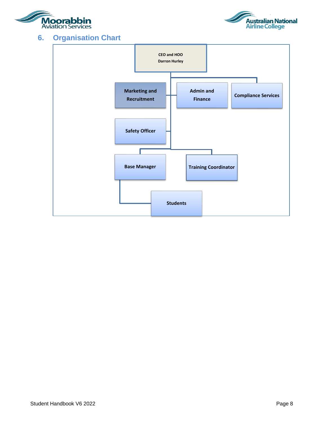<span id="page-7-0"></span>



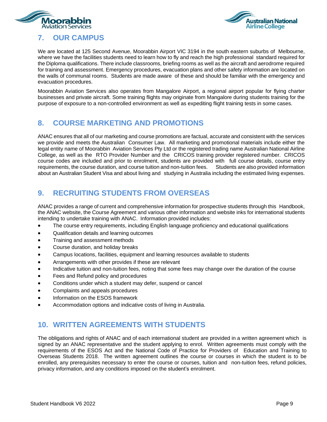<span id="page-8-0"></span>



# **7. OUR CAMPUS**

We are located at 125 Second Avenue, Moorabbin Airport VIC 3194 in the south eastern suburbs of Melbourne, where we have the facilities students need to learn how to fly and reach the high professional standard required for the Diploma qualifications. There include classrooms, briefing rooms as well as the aircraft and aerodrome required for training and assessment. Emergency procedures, evacuation plans and other safety information are located on the walls of communal rooms. Students are made aware of these and should be familiar with the emergency and evacuation procedures.

Moorabbin Aviation Services also operates from Mangalore Airport, a regional airport popular for flying charter businesses and private aircraft. Some training flights may originate from Mangalore during students training for the purpose of exposure to a non-controlled environment as well as expediting flight training tests in some cases.

# <span id="page-8-1"></span>**8. COURSE MARKETING AND PROMOTIONS**

ANAC ensures that all of our marketing and course promotions are factual, accurate and consistent with the services we provide and meets the Australian Consumer Law. All marketing and promotional materials include either the legal entity name of Moorabbin Aviation Services Pty Ltd or the registered trading name Australian National Airline College, as well as the RTO Provider Number and the CRICOS training provider registered number. CRICOS course codes are included and prior to enrolment, students are provided with full course details, course entry requirements, the course duration, and course tuition and non-tuition fees. Students are also provided information about an Australian Student Visa and about living and studying in Australia including the estimated living expenses.

# <span id="page-8-2"></span>**9. RECRUITING STUDENTS FROM OVERSEAS**

ANAC provides a range of current and comprehensive information for prospective students through this Handbook, the ANAC website, the Course Agreement and various other information and website inks for international students intending to undertake training with ANAC. Information provided includes:

- The course entry requirements, including English language proficiency and educational qualifications
- Qualification details and learning outcomes
- Training and assessment methods
- Course duration, and holiday breaks
- Campus locations, facilities, equipment and learning resources available to students
- Arrangements with other provides if these are relevant
- Indicative tuition and non-tuition fees, noting that some fees may change over the duration of the course
- Fees and Refund policy and procedures
- Conditions under which a student may defer, suspend or cancel
- Complaints and appeals procedures
- Information on the ESOS framework
- Accommodation options and indicative costs of living in Australia.

#### <span id="page-8-3"></span>**10. WRITTEN AGREEMENTS WITH STUDENTS**

The obligations and rights of ANAC and of each international student are provided in a written agreement which is signed by an ANAC representative and the student applying to enrol. Written agreements must comply with the requirements of the ESOS Act and the National Code of Practice for Providers of Education and Training to Overseas Students 2018. The written agreement outlines the course or courses in which the student is to be enrolled, any prerequisites necessary to enter the course or courses, tuition and non-tuition fees, refund policies, privacy information, and any conditions imposed on the student's enrolment.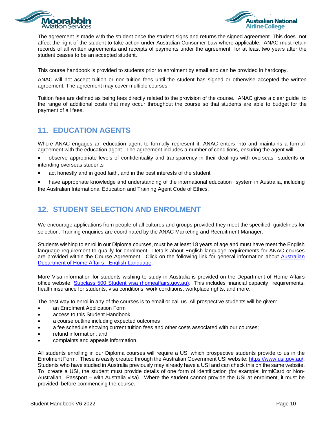



The agreement is made with the student once the student signs and returns the signed agreement. This does not affect the right of the student to take action under Australian Consumer Law where applicable. ANAC must retain records of all written agreements and receipts of payments under the agreement for at least two years after the student ceases to be an accepted student.

This course handbook is provided to students prior to enrolment by email and can be provided in hardcopy.

ANAC will not accept tuition or non-tuition fees until the student has signed or otherwise accepted the written agreement. The agreement may cover multiple courses.

Tuition fees are defined as being fees directly related to the provision of the course. ANAC gives a clear guide to the range of additional costs that may occur throughout the course so that students are able to budget for the payment of all fees.

# <span id="page-9-0"></span>**11. EDUCATION AGENTS**

Where ANAC engages an education agent to formally represent it, ANAC enters into and maintains a formal agreement with the education agent. The agreement includes a number of conditions, ensuring the agent will:

- observe appropriate levels of confidentiality and transparency in their dealings with overseas students or intending overseas students
- act honestly and in good faith, and in the best interests of the student
- have appropriate knowledge and understanding of the international education system in Australia, including the Australian International Education and Training Agent Code of Ethics.

#### <span id="page-9-1"></span>**12. STUDENT SELECTION AND ENROLMENT**

We encourage applications from people of all cultures and groups provided they meet the specified guidelines for selection. Training enquiries are coordinated by the ANAC Marketing and Recruitment Manager.

Students wishing to enrol in our Diploma courses, must be at least 18 years of age and must have meet the English language requirement to qualify for enrolment. Details about English language requirements for ANAC courses are provided within the Course Agreement. Click on the following link for general information about Australian Department of Home Affairs - [English Language.](https://immi.homeaffairs.gov.au/help-support/meeting-our-requirements/english-language)

More Visa information for students wishing to study in Australia is provided on the Department of Home Affairs office website: [Subclass 500 Student visa \(homeaffairs.gov.au\).](https://immi.homeaffairs.gov.au/visas/getting-a-visa/visa-listing/student-500) This includes financial capacity requirements, health insurance for students, visa conditions, work conditions, workplace rights, and more.

The best way to enrol in any of the courses is to email or call us. All prospective students will be given:

- an Enrolment Application Form
- access to this Student Handbook;
- a course outline including expected outcomes
- a fee schedule showing current tuition fees and other costs associated with our courses;
- refund information; and
- complaints and appeals information.

All students enrolling in our Diploma courses will require a USI which prospective students provide to us in the Enrolment Form. These is easily created through the Australian Government USI website: [https://www.usi.gov.au/.](https://www.usi.gov.au/) Students who have studied in Australia previously may already have a USI and can check this on the same website. To create a USI, the student must provide details of one form of identification (for example: ImmiCard or Non-Australian Passport – with Australia visa). Where the student cannot provide the USI at enrolment, it must be provided before commencing the course.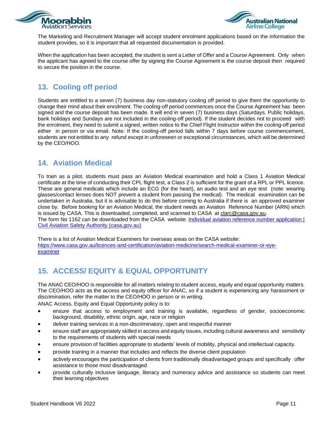



The Marketing and Recruitment Manager will accept student enrolment applications based on the information the student provides, so it is important that all requested documentation is provided.

When the application has been accepted, the student is sent a Letter of Offer and a Course Agreement. Only when the applicant has agreed to the course offer by signing the Course Agreement is the course deposit then required to secure the position in the course.

# <span id="page-10-0"></span>**13. Cooling off period**

Students are entitled to a seven (7) business day non-statutory cooling off period to give them the opportunity to change their mind about their enrolment. The cooling-off period commences once the Course Agreement has been signed and the course deposit has been made. It will end in seven (7) business days (Saturdays. Public holidays, bank holidays and Sundays are not included in the cooling-off period). If the student decides not to proceed with the enrolment, they need to submit a signed, written notice to the Chief Flight Instructor within the cooling-off period either in person or via email. Note: If the cooling-off period falls within 7 days before course commencement, students are not entitled to any refund except in unforeseen or exceptional circumstances, which will be determined by the CEO/HOO.

# <span id="page-10-1"></span>**14. Aviation Medical**

To train as a pilot, students must pass an Aviation Medical examination and hold a Class 1 Aviation Medical certificate at the time of conducting their CPL flight test, a Class 2 is sufficient for the grant of a RPL or PPL licence. These are general medicals which include an ECG (for the heart), an audio test and an eye test (note: wearing glasses/contact lenses does NOT prevent a student from passing the medical). The medical examination can be undertaken in Australia, but it is advisable to do this before coming to Australia if there is an approved examiner close by. Before booking for an Aviation Medical, the student needs an Aviation Reference Number (ARN) which is issued by CASA. This is downloaded, completed, and scanned to CASA at [clarc@casa.gov.au.](mailto:clarc@casa.gov.au)

The form No 1162 can be downloaded from the CASA website. Individual aviation reference number application | [Civil Aviation Safety Authority \(casa.gov.au\)](https://www.casa.gov.au/standard-page/individual-aviation-reference-number)

There is a list of Aviation Medical Examiners for overseas areas on the CASA website: [https://www.casa.gov.au/licences-and-certification/aviation-medicine/search-medical-examiner-or-eye](https://www.casa.gov.au/licences-and-certification/aviation-medicine/search-medical-examiner-or-eye-examiner)[examiner](https://www.casa.gov.au/licences-and-certification/aviation-medicine/search-medical-examiner-or-eye-examiner)

# <span id="page-10-2"></span>**15. ACCESS/ EQUITY & EQUAL OPPORTUNITY**

The ANAC CEO/HOO is responsible for all matters relating to student access, equity and equal opportunity matters. The CEO/HOO acts as the access and equity officer for ANAC, so if a student is experiencing any harassment or discrimination, refer the matter to the CEO/HOO in person or in writing.

ANAC Access, Equity and Equal Opportunity policy is to:

- ensure that access to employment and training is available, regardless of gender, socioeconomic background, disability, ethnic origin, age, race or religion
- deliver training services in a non-discriminatory, open and respectful manner
- ensure staff are appropriately skilled in access and equity issues, including cultural awareness and sensitivity to the requirements of students with special needs
- ensure provision of facilities appropriate to students' levels of mobility, physical and intellectual capacity.
- provide training in a manner that includes and reflects the diverse client population
- actively encourages the participation of clients from traditionally disadvantaged groups and specifically offer assistance to those most disadvantaged
- provide culturally inclusive language, literacy and numeracy advice and assistance so students can meet their learning objectives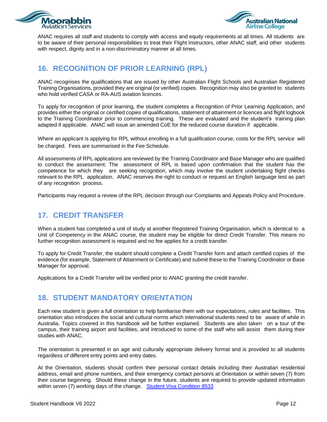



ANAC requires all staff and students to comply with access and equity requirements at all times. All students are to be aware of their personal responsibilities to treat their Flight Instructors, other ANAC staff, and other students with respect, dignity and in a non-discriminatory manner at all times.

# <span id="page-11-0"></span>**16. RECOGNITION OF PRIOR LEARNING (RPL)**

ANAC recognises the qualifications that are issued by other Australian Flight Schools and Australian Registered Training Organisations, provided they are original (or verified) copies. Recognition may also be granted to students who hold verified CASA or RA-AUS aviation licences.

To apply for recognition of prior learning, the student completes a Recognition of Prior Learning Application, and provides either the original or certified copies of qualifications, statement of attainment or licences and flight logbook to the Training Coordinator prior to commencing training. These are evaluated and the student's training plan adapted if applicable. ANAC will issue an amended CoE for the reduced course duration if applicable.

Where an applicant is applying for RPL without enrolling in a full qualification course, costs for the RPL service will be charged. Fees are summarised in the Fee Schedule.

All assessments of RPL applications are reviewed by the Training Coordinator and Base Manager who are qualified to conduct the assessment. The assessment of RPL is based upon confirmation that the student has the competence for which they are seeking recognition, which may involve the student undertaking flight checks relevant to the RPL application. ANAC reserves the right to conduct or request an English language test as part of any recognition process.

Participants may request a review of the RPL decision through our Complaints and Appeals Policy and Procedure.

# <span id="page-11-1"></span>**17. CREDIT TRANSFER**

When a student has completed a unit of study at another Registered Training Organisation, which is identical to a Unit of Competency in the ANAC course, the student may be eligible for direct Credit Transfer. This means no further recognition assessment is required and no fee applies for a credit transfer.

To apply for Credit Transfer, the student should complete a Credit Transfer form and attach certified copies of the evidence (for example, Statement of Attainment or Certificate) and submit these to the Training Coordinator or Base Manager for approval.

Applications for a Credit Transfer will be verified prior to ANAC granting the credit transfer.

#### <span id="page-11-2"></span>**18. STUDENT MANDATORY ORIENTATION**

Each new student is given a full orientation to help familiarise them with our expectations, rules and facilities. This orientation also introduces the social and cultural norms which international students need to be aware of while in Australia. Topics covered in this handbook will be further explained. Students are also taken on a tour of the campus, their training airport and facilities, and introduced to some of the staff who will assist them during their studies with ANAC.

The orientation is presented in an age and culturally appropriate delivery format and is provided to all students regardless of different entry points and entry dates.

At the Orientation, students should confirm their personal contact details including their Australian residential address, email and phone numbers, and their emergency contact person/s at Orientation or within seven (7) from their course beginning. Should these change in the future, students are required to provide updated information within seven (7) working days of the change. [Student Visa Condition 8533](https://immi.homeaffairs.gov.au/visas/already-have-a-visa/check-visa-details-and-conditions/see-your-visa-conditions?product=500)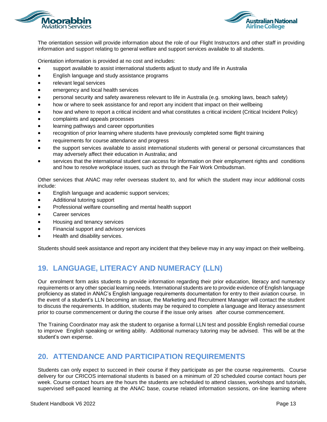



The orientation session will provide information about the role of our Flight Instructors and other staff in providing information and support relating to general welfare and support services available to all students.

Orientation information is provided at no cost and includes:

- support available to assist international students adjust to study and life in Australia
- English language and study assistance programs
- relevant legal services
- emergency and local health services
- personal security and safety awareness relevant to life in Australia (e.g. smoking laws, beach safety)
- how or where to seek assistance for and report any incident that impact on their wellbeing
- how and where to report a critical incident and what constitutes a critical incident (Critical Incident Policy)
- complaints and appeals processes
- learning pathways and career opportunities
- recognition of prior learning where students have previously completed some flight training
- requirements for course attendance and progress
- the support services available to assist international students with general or personal circumstances that may adversely affect their education in Australia; and
- services that the international student can access for information on their employment rights and conditions and how to resolve workplace issues, such as through the Fair Work Ombudsman.

Other services that ANAC may refer overseas student to, and for which the student may incur additional costs include:

- English language and academic support services;
- Additional tutoring support
- Professional welfare counselling and mental health support
- Career services
- Housing and tenancy services
- Financial support and advisory services
- Health and disability services.

Students should seek assistance and report any incident that they believe may in any way impact on their wellbeing.

# <span id="page-12-0"></span>**19. LANGUAGE, LITERACY AND NUMERACY (LLN)**

Our enrolment form asks students to provide information regarding their prior education, literacy and numeracy requirements or any other special learning needs. International students are to provide evidence of English language proficiency as stated in ANAC's English language requirements documentation for entry to their aviation course. In the event of a student's LLN becoming an issue, the Marketing and Recruitment Manager will contact the student to discuss the requirements. In addition, students may be required to complete a language and literacy assessment prior to course commencement or during the course if the issue only arises after course commencement.

The Training Coordinator may ask the student to organise a formal LLN test and possible English remedial course to improve English speaking or writing ability. Additional numeracy tutoring may be advised. This will be at the student's own expense.

# <span id="page-12-1"></span>**20. ATTENDANCE AND PARTICIPATION REQUIREMENTS**

Students can only expect to succeed in their course if they participate as per the course requirements. Course delivery for our CRICOS international students is based on a minimum of 20 scheduled course contact hours per week. Course contact hours are the hours the students are scheduled to attend classes, workshops and tutorials, supervised self-paced learning at the ANAC base, course related information sessions, on-line learning where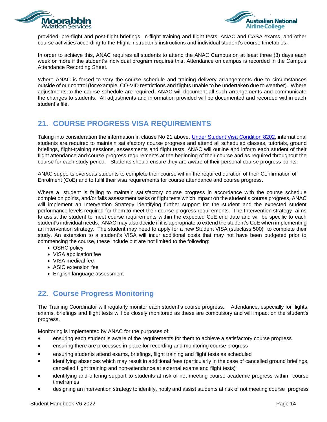



provided, pre-flight and post-flight briefings, in-flight training and flight tests, ANAC and CASA exams, and other course activities according to the Flight Instructor's instructions and individual student's course timetables.

In order to achieve this, ANAC requires all students to attend the ANAC Campus on at least three (3) days each week or more if the student's individual program requires this. Attendance on campus is recorded in the Campus Attendance Recording Sheet.

Where ANAC is forced to vary the course schedule and training delivery arrangements due to circumstances outside of our control (for example, CO-VID restrictions and flights unable to be undertaken due to weather). Where adjustments to the course schedule are required, ANAC will document all such arrangements and communicate the changes to students. All adjustments and information provided will be documented and recorded within each student's file.

# <span id="page-13-0"></span>**21. COURSE PROGRESS VISA REQUIREMENTS**

Taking into consideration the information in clause No 21 above, *Under Student Visa Condition 8202*, international students are required to maintain satisfactory course progress and attend all scheduled classes, tutorials, ground briefings, flight-training sessions, assessments and flight tests. ANAC will outline and inform each student of their flight attendance and course progress requirements at the beginning of their course and as required throughout the course for each study period. Students should ensure they are aware of their personal course progress points.

ANAC supports overseas students to complete their course within the required duration of their Confirmation of Enrolment (CoE) and to fulfil their visa requirements for course attendance and course progress.

Where a student is failing to maintain satisfactory course progress in accordance with the course schedule completion points, and/or fails assessment tasks or flight tests which impact on the student's course progress, ANAC will implement an Intervention Strategy identifying further support for the student and the expected student performance levels required for them to meet their course progress requirements. The Intervention strategy aims to assist the student to meet course requirements within the expected CoE end date and will be specific to each student's individual needs. ANAC may also decide if it is appropriate to extend the student's CoE when implementing an intervention strategy. The student may need to apply for a new Student VISA (subclass 500) to complete their study. An extension to a student's VISA will incur additional costs that may not have been budgeted prior to commencing the course, these include but are not limited to the following:

- OSHC policy
- VISA application fee
- VISA medical fee
- ASIC extension fee
- English language assessment

# <span id="page-13-1"></span>**22. Course Progress Monitoring**

The Training Coordinator will regularly monitor each student's course progress. Attendance, especially for flights, exams, briefings and flight tests will be closely monitored as these are compulsory and will impact on the student's progress.

Monitoring is implemented by ANAC for the purposes of:

- ensuring each student is aware of the requirements for them to achieve a satisfactory course progress
- ensuring there are processes in place for recording and monitoring course progress
- ensuring students attend exams, briefings, flight training and flight tests as scheduled
- identifying absences which may result in additional fees (particularly in the case of cancelled ground briefings, cancelled flight training and non-attendance at external exams and flight tests)
- identifying and offering support to students at risk of not meeting course academic progress within course timeframes
- designing an intervention strategy to identify, notify and assist students at risk of not meeting course progress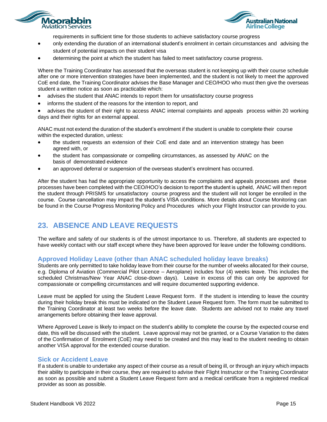



requirements in sufficient time for those students to achieve satisfactory course progress

- only extending the duration of an international student's enrolment in certain circumstances and advising the student of potential impacts on their student visa
- determining the point at which the student has failed to meet satisfactory course progress.

Where the Training Coordinator has assessed that the overseas student is not keeping up with their course schedule after one or more intervention strategies have been implemented, and the student is not likely to meet the approved CoE end date, the Training Coordinator advises the Base Manager and CEO/HOO who must then give the overseas student a written notice as soon as practicable which:

- advises the student that ANAC intends to report them for unsatisfactory course progress
- informs the student of the reasons for the intention to report, and

• advises the student of their right to access ANAC internal complaints and appeals process within 20 working days and their rights for an external appeal.

ANAC must not extend the duration of the student's enrolment if the student is unable to complete their course within the expected duration, unless:

- the student requests an extension of their CoE end date and an intervention strategy has been agreed with, or
- the student has compassionate or compelling circumstances, as assessed by ANAC on the basis of demonstrated evidence
- an approved deferral or suspension of the overseas student's enrolment has occurred.

After the student has had the appropriate opportunity to access the complaints and appeals processes and these processes have been completed with the CEO/HOO's decision to report the student is upheld, ANAC will then report the student through PRISMS for unsatisfactory course progress and the student will not longer be enrolled in the course. Course cancellation may impact the student's VISA conditions. More details about Course Monitoring can be found in the Course Progress Monitoring Policy and Procedures which your Flight Instructor can provide to you.

# <span id="page-14-0"></span>**23. ABSENCE AND LEAVE REQUESTS**

The welfare and safety of our students is of the utmost importance to us. Therefore, all students are expected to have weekly contact with our staff except where they have been approved for leave under the following conditions.

#### <span id="page-14-1"></span>**Approved Holiday Leave (other than ANAC scheduled holiday leave breaks)**

Students are only permitted to take holiday leave from their course for the number of weeks allocated for their course, e.g. Diploma of Aviation (Commercial Pilot Licence – Aeroplane) includes four (4) weeks leave. This includes the scheduled Christmas/New Year ANAC close-down days). Leave in excess of this can only be approved for compassionate or compelling circumstances and will require documented supporting evidence.

Leave must be applied for using the Student Leave Request form. If the student is intending to leave the country during their holiday break this must be indicated on the Student Leave Request form. The form must be submitted to the Training Coordinator at least two weeks before the leave date. Students are advised not to make any travel arrangements before obtaining their leave approval.

Where Approved Leave is likely to impact on the student's ability to complete the course by the expected course end date, this will be discussed with the student. Leave approval may not be granted, or a Course Variation to the dates of the Confirmation of Enrolment (CoE) may need to be created and this may lead to the student needing to obtain another VISA approval for the extended course duration.

#### <span id="page-14-2"></span>**Sick or Accident Leave**

If a student is unable to undertake any aspect of their course as a result of being ill, or through an injury which impacts their ability to participate in their course, they are required to advise their Flight Instructor or the Training Coordinator as soon as possible and submit a Student Leave Request form and a medical certificate from a registered medical provider as soon as possible.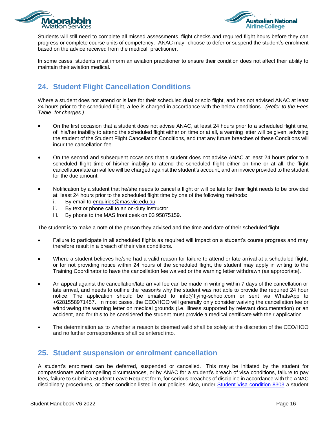



Students will still need to complete all missed assessments, flight checks and required flight hours before they can progress or complete course units of competency. ANAC may choose to defer or suspend the student's enrolment based on the advice received from the medical practitioner.

In some cases, students must inform an aviation practitioner to ensure their condition does not affect their ability to maintain their aviation medical.

# <span id="page-15-0"></span>**24. Student Flight Cancellation Conditions**

Where a student does not attend or is late for their scheduled dual or solo flight, and has not advised ANAC at least 24 hours prior to the scheduled flight, a fee is charged in accordance with the below conditions. *(Refer to the Fees Table for charges.)*

- On the first occasion that a student does not advise ANAC, at least 24 hours prior to a scheduled flight time, of his/her inability to attend the scheduled flight either on time or at all, a warning letter will be given, advising the student of the Student Flight Cancellation Conditions, and that any future breaches of these Conditions will incur the cancellation fee.
- On the second and subsequent occasions that a student does not advise ANAC at least 24 hours prior to a scheduled flight time of his/her inability to attend the scheduled flight either on time or at all, the flight cancellation/late arrival fee will be charged against the student's account, and an invoice provided to the student for the due amount.
- Notification by a student that he/she needs to cancel a flight or will be late for their flight needs to be provided at least 24 hours prior to the scheduled flight time by one of the following methods:
	- i. By email to [enquiries@mas.](mailto:masenquiries@iinet.net.au)vic.edu.au
	- ii. By text or phone call to an on-duty instructor
	- iii. By phone to the MAS front desk on 03 95875159.

The student is to make a note of the person they advised and the time and date of their scheduled flight.

- Failure to participate in all scheduled flights as required will impact on a student's course progress and may therefore result in a breach of their visa conditions.
- Where a student believes he/she had a valid reason for failure to attend or late arrival at a scheduled flight, or for not providing notice within 24 hours of the scheduled flight, the student may apply in writing to the Training Coordinator to have the cancellation fee waived or the warning letter withdrawn (as appropriate).
- An appeal against the cancellation/late arrival fee can be made in writing within 7 days of the cancellation or late arrival, and needs to outline the reason/s why the student was not able to provide the required 24 hour notice. The application should be emailed to [info@flying-school.com o](mailto:info@flying-school.com)r sent via WhatsApp to +6281558971457. In most cases, the CEO/HOO will generally only consider waiving the cancellation fee or withdrawing the warning letter on medical grounds (i.e. illness supported by relevant documentation) or an accident, and for this to be considered the student must provide a medical certificate with their application.
- The determination as to whether a reason is deemed valid shall be solely at the discretion of the CEO/HOO and no further correspondence shall be entered into.

# <span id="page-15-1"></span>**25. Student suspension or enrolment cancellation**

A student's enrolment can be deferred, suspended or cancelled. This may be initiated by the student for compassionate and compelling circumstances, or by ANAC for a student's breach of visa conditions, failure to pay fees, failure to submit a Student Leave Request form, for serious breaches of discipline in accordance with the ANAC disciplinary procedures, or other condition listed in our policies. Also, under [Student Visa condition 8303](https://immi.homeaffairs.gov.au/visas/already-have-a-visa/check-visa-details-and-conditions/see-your-visa-conditions?product=500) a student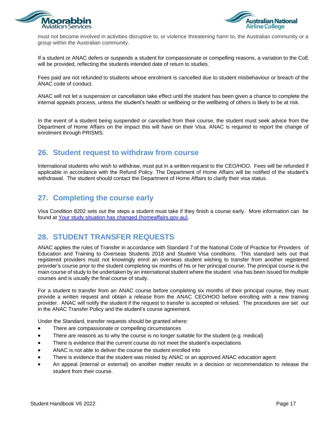



must not become involved in activities disruptive to, or violence threatening harm to, the Australian community or a group within the Australian community.

If a student or ANAC defers or suspends a student for compassionate or compelling reasons, a variation to the CoE will be provided, reflecting the students intended date of return to studies.

Fees paid are not refunded to students whose enrolment is cancelled due to student misbehaviour or breach of the ANAC code of conduct.

ANAC will not let a suspension or cancellation take effect until the student has been given a chance to complete the internal appeals process, unless the student's health or wellbeing or the wellbeing of others is likely to be at risk.

In the event of a student being suspended or cancelled from their course, the student must seek advice from the Department of Home Affairs on the impact this will have on their Visa. ANAC is required to report the change of enrolment through PRISMS.

#### <span id="page-16-0"></span>**26. Student request to withdraw from course**

International students who wish to withdraw, must put in a written request to the CEO/HOO. Fees will be refunded if applicable in accordance with the Refund Policy. The Department of Home Affairs will be notified of the student's withdrawal. The student should contact the Department of Home Affairs to clarify their visa status.

# <span id="page-16-1"></span>**27. Completing the course early**

Visa Condition 8202 sets out the steps a student must take if they finish a course early. More information can be found at [Your study situation has changed \(homeaffairs.gov.au\).](https://immi.homeaffairs.gov.au/change-in-situation/study-situation)

#### <span id="page-16-2"></span>**28. STUDENT TRANSFER REQUESTS**

ANAC applies the rules of Transfer in accordance with Standard 7 of the National Code of Practice for Providers of Education and Training to Overseas Students 2018 and Student Visa conditions. This standard sets out that registered providers must not knowingly enrol an overseas student wishing to transfer from another registered provider's course prior to the student completing six months of his or her principal course. The principal course is the main course of study to be undertaken by an international student where the student visa has been issued for multiple courses and is usually the final course of study.

For a student to transfer from an ANAC course before completing six months of their principal course, they must provide a written request and obtain a release from the ANAC CEO/HOO before enrolling with a new training provider. ANAC will notify the student if the request to transfer is accepted or refused. The procedures are set out in the ANAC Transfer Policy and the student's course agreement.

Under the Standard, transfer requests should be granted where:

- There are compassionate or compelling circumstances
- There are reasons as to why the course is no longer suitable for the student (e.g. medical)
- There is evidence that the current course do not meet the student's expectations
- ANAC is not able to deliver the course the student enrolled into
- There is evidence that the student was misled by ANAC or an approved ANAC education agent
- An appeal (internal or external) on another matter results in a decision or recommendation to release the student from their course.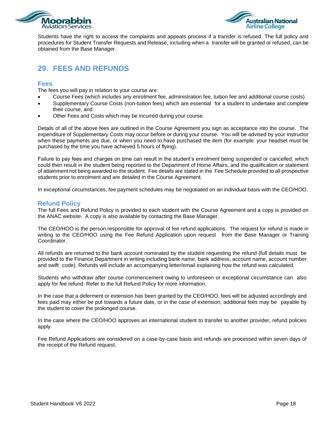



Students have the right to access the complaints and appeals process if a transfer is refused. The full policy and procedures for Student Transfer Requests and Release, including when a transfer will be granted or refused, can be obtained from the Base Manager.

# <span id="page-17-0"></span>**29. FEES AND REFUNDS**

#### <span id="page-17-1"></span>**Fees**

The fees you will pay in relation to your course are:

- Course Fees (which includes any enrolment fee, administration fee, tuition fee and additional course costs)
- Supplementary Course Costs (non-tuition fees) which are essential for a student to undertake and complete their course, and
- Other Fees and Costs which may be incurred during your course.

Details of all of the above fees are outlined in the Course Agreement you sign as acceptance into the course. The expenditure of Supplementary Costs may occur before or during your course. You will be advised by your instructor when these payments are due, or when you need to have purchased the item (for example: your headset must be purchased by the time you have achieved 5 hours of flying).

Failure to pay fees and charges on time can result in the student's enrolment being suspended or cancelled, which could then result in the student being reported to the Department of Home Affairs, and the qualification or statement of attainment not being awarded to the student. Fee details are stated in the Fee Schedule provided to all prospective students prior to enrolment and are detailed in the Course Agreement.

In exceptional circumstances, fee payment schedules may be negotiated on an individual basis with the CEO/HOO.

#### <span id="page-17-2"></span>**Refund Policy**

The full Fees and Refund Policy is provided to each student with the Course Agreement and a copy is provided on the ANAC website. A copy is also available by contacting the Base Manager.

The CEO/HOO is the person responsible for approval of fee refund applications. The request for refund is made in writing to the CEO/HOO using the Fee Refund Application upon request from the Base Manager or Training Coordinator.

All refunds are returned to the bank account nominated by the student requesting the refund (full details must be provided to the Finance Department in writing including bank name, bank address, account name, account number and swift code). Refunds will include an accompanying letter/email explaining how the refund was calculated.

Students who withdraw after course commencement owing to unforeseen or exceptional circumstance can also apply for fee refund. Refer to the full Refund Policy for more information.

In the case that a deferment or extension has been granted by the CEO/HOO, fees will be adjusted accordingly and fees paid may either be put towards a future date, or in the case of extension, additional fees may be payable by the student to cover the prolonged course.

In the case where the CEO/HOO approves an international student to transfer to another provider, refund policies apply.

Fee Refund Applications are considered on a case-by-case basis and refunds are processed within seven days of the receipt of the Refund request.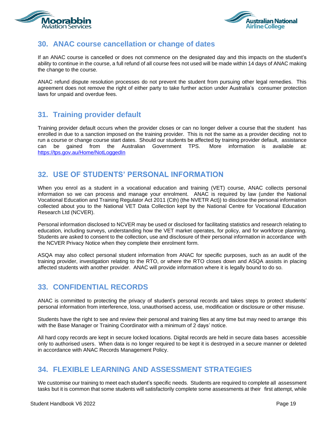



#### <span id="page-18-0"></span>**30. ANAC course cancellation or change of dates**

If an ANAC course is cancelled or does not commence on the designated day and this impacts on the student's ability to continue in the course, a full refund of all course fees not used will be made within 14 days of ANAC making the change to the course.

ANAC refund dispute resolution processes do not prevent the student from pursuing other legal remedies. This agreement does not remove the right of either party to take further action under Australia's consumer protection laws for unpaid and overdue fees.

#### <span id="page-18-1"></span>**31. Training provider default**

Training provider default occurs when the provider closes or can no longer deliver a course that the student has enrolled in due to a sanction imposed on the training provider. This is not the same as a provider deciding not to run a course or change course start dates. Should our students be affected by training provider default, assistance can be gained from the Australian Government TPS. More information is available <https://tps.gov.au/Home/NotLoggedIn>

# <span id="page-18-2"></span>**32. USE OF STUDENTS' PERSONAL INFORMATION**

When you enrol as a student in a vocational education and training (VET) course, ANAC collects personal information so we can process and manage your enrolment. ANAC is required by law (under the National Vocational Education and Training Regulator Act 2011 (Cth) (the NVETR Act)) to disclose the personal information collected about you to the National VET Data Collection kept by the National Centre for Vocational Education Research Ltd (NCVER).

Personal information disclosed to NCVER may be used or disclosed for facilitating statistics and research relating to education, including surveys, understanding how the VET market operates, for policy, and for workforce planning. Students are asked to consent to the collection, use and disclosure of their personal information in accordance with the NCVER Privacy Notice when they complete their enrolment form.

ASQA may also collect personal student information from ANAC for specific purposes, such as an audit of the training provider, investigation relating to the RTO, or where the RTO closes down and ASQA assists in placing affected students with another provider. ANAC will provide information where it is legally bound to do so.

# <span id="page-18-3"></span>**33. CONFIDENTIAL RECORDS**

ANAC is committed to protecting the privacy of student's personal records and takes steps to protect students' personal information from interference, loss, unauthorised access, use, modification or disclosure or other misuse.

Students have the right to see and review their personal and training files at any time but may need to arrange this with the Base Manager or Training Coordinator with a minimum of 2 days' notice.

All hard copy records are kept in secure locked locations. Digital records are held in secure data bases accessible only to authorised users. When data is no longer required to be kept it is destroyed in a secure manner or deleted in accordance with ANAC Records Management Policy.

#### <span id="page-18-4"></span>**34. FLEXIBLE LEARNING AND ASSESSMENT STRATEGIES**

We customise our training to meet each student's specific needs. Students are required to complete all assessment tasks but it is common that some students will satisfactorily complete some assessments at their first attempt, while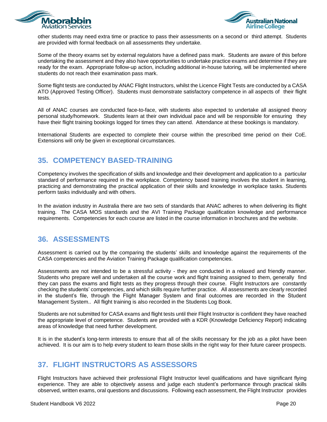



other students may need extra time or practice to pass their assessments on a second or third attempt. Students are provided with formal feedback on all assessments they undertake.

Some of the theory exams set by external regulators have a defined pass mark. Students are aware of this before undertaking the assessment and they also have opportunities to undertake practice exams and determine if they are ready for the exam. Appropriate follow-up action, including additional in-house tutoring, will be implemented where students do not reach their examination pass mark.

Some flight tests are conducted by ANAC Flight Instructors, whilst the Licence Flight Tests are conducted by a CASA ATO (Approved Testing Officer). Students must demonstrate satisfactory competence in all aspects of their flight tests.

All of ANAC courses are conducted face-to-face, with students also expected to undertake all assigned theory personal study/homework. Students learn at their own individual pace and will be responsible for ensuring they have their flight training bookings logged for times they can attend. Attendance at these bookings is mandatory.

International Students are expected to complete their course within the prescribed time period on their CoE. Extensions will only be given in exceptional circumstances.

# <span id="page-19-0"></span>**35. COMPETENCY BASED-TRAINING**

Competency involves the specification of skills and knowledge and their development and application to a particular standard of performance required in the workplace. Competency based training involves the student in learning, practicing and demonstrating the practical application of their skills and knowledge in workplace tasks. Students perform tasks individually and with others.

In the aviation industry in Australia there are two sets of standards that ANAC adheres to when delivering its flight training. The CASA MOS standards and the AVI Training Package qualification knowledge and performance requirements. Competencies for each course are listed in the course information in brochures and the website.

#### <span id="page-19-1"></span>**36. ASSESSMENTS**

Assessment is carried out by the comparing the students' skills and knowledge against the requirements of the CASA competencies and the Aviation Training Package qualification competencies.

Assessments are not intended to be a stressful activity - they are conducted in a relaxed and friendly manner. Students who prepare well and undertaken all the course work and flight training assigned to them, generally find they can pass the exams and flight tests as they progress through their course. Flight Instructors are constantly checking the students' competencies, and which skills require further practice. All assessments are clearly recorded in the student's file, through the Flight Manager System and final outcomes are recorded in the Student Management System.. All flight training is also recorded in the Students Log Book.

Students are not submitted for CASA exams and flight tests until their Flight Instructor is confident they have reached the appropriate level of competence. Students are provided with a KDR (Knowledge Deficiency Report) indicating areas of knowledge that need further development.

It is in the student's long-term interests to ensure that all of the skills necessary for the job as a pilot have been achieved. It is our aim is to help every student to learn those skills in the right way for their future career prospects.

#### <span id="page-19-2"></span>**37. FLIGHT INSTRUCTORS AS ASSESSORS**

Flight Instructors have achieved their professional Flight Instructor level qualifications and have significant flying experience. They are able to objectively assess and judge each student's performance through practical skills observed, written exams, oral questions and discussions. Following each assessment, the Flight Instructor provides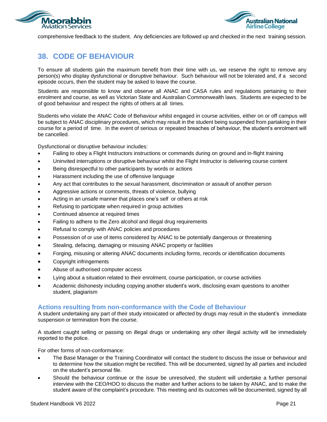



comprehensive feedback to the student. Any deficiencies are followed up and checked in the next training session.

# <span id="page-20-0"></span>**38. CODE OF BEHAVIOUR**

To ensure all students gain the maximum benefit from their time with us, we reserve the right to remove any person(s) who display dysfunctional or disruptive behaviour. Such behaviour will not be tolerated and, if a second episode occurs, then the student may be asked to leave the course.

Students are responsible to know and observe all ANAC and CASA rules and regulations pertaining to their enrolment and course, as well as Victorian State and Australian Commonwealth laws. Students are expected to be of good behaviour and respect the rights of others at all times.

Students who violate the ANAC Code of Behaviour whilst engaged in course activities, either on or off campus will be subject to ANAC disciplinary procedures, which may result in the student being suspended from partaking in their course for a period of time. In the event of serious or repeated breaches of behaviour, the student's enrolment will be cancelled.

Dysfunctional or disruptive behaviour includes:

- Failing to obey a Flight Instructors instructions or commands during on ground and in-flight training
- Uninvited interruptions or disruptive behaviour whilst the Flight Instructor is delivering course content
- Being disrespectful to other participants by words or actions
- Harassment including the use of offensive language
- Any act that contributes to the sexual harassment, discrimination or assault of another person
- Aggressive actions or comments, threats of violence, bullying
- Acting in an unsafe manner that places one's self or others at risk
- Refusing to participate when required in group activities
- Continued absence at required times
- Failing to adhere to the Zero alcohol and illegal drug requirements
- Refusal to comply with ANAC policies and procedures
- Possession of or use of items considered by ANAC to be potentially dangerous or threatening
- Stealing, defacing, damaging or misusing ANAC property or facilities
- Forging, misusing or altering ANAC documents including forms, records or identification documents
- Copyright infringements
- Abuse of authorised computer access
- Lying about a situation related to their enrolment, course participation, or course activities
- Academic dishonesty including copying another student's work, disclosing exam questions to another student, plagiarism

#### <span id="page-20-1"></span>**Actions resulting from non-conformance with the Code of Behaviour**

A student undertaking any part of their study intoxicated or affected by drugs may result in the student's immediate suspension or termination from the course.

A student caught selling or passing on illegal drugs or undertaking any other illegal activity will be immediately reported to the police.

For other forms of non-conformance:

- The Base Manager or the Training Coordinator will contact the student to discuss the issue or behaviour and to determine how the situation might be rectified. This will be documented, signed by all parties and included on the student's personal file.
- Should the behaviour continue or the issue be unresolved, the student will undertake a further personal interview with the CEO/HOO to discuss the matter and further actions to be taken by ANAC, and to make the student aware of the complaint's procedure. This meeting and its outcomes will be documented, signed by all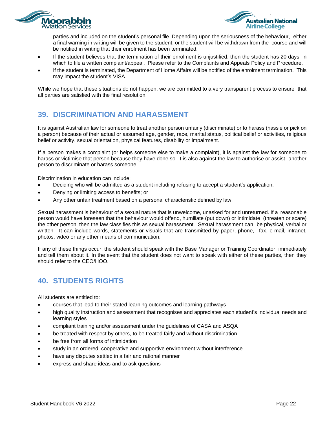



parties and included on the student's personal file. Depending upon the seriousness of the behaviour, either a final warning in writing will be given to the student, or the student will be withdrawn from the course and will be notified in writing that their enrolment has been terminated.

- If the student believes that the termination of their enrolment is unjustified, then the student has 20 days in which to file a written complaint/appeal. Please refer to the Complaints and Appeals Policy and Procedure.
- If the student is terminated, the Department of Home Affairs will be notified of the enrolment termination. This may impact the student's VISA.

While we hope that these situations do not happen, we are committed to a very transparent process to ensure that all parties are satisfied with the final resolution.

# <span id="page-21-0"></span>**39. DISCRIMINATION AND HARASSMENT**

It is against Australian law for someone to treat another person unfairly (discriminate) or to harass (hassle or pick on a person) because of their actual or assumed age, gender, race, marital status, political belief or activities, religious belief or activity, sexual orientation, physical features, disability or impairment.

If a person makes a complaint (or helps someone else to make a complaint), it is against the law for someone to harass or victimise that person because they have done so. It is also against the law to authorise or assist another person to discriminate or harass someone.

Discrimination in education can include:

- Deciding who will be admitted as a student including refusing to accept a student's application;
- Denying or limiting access to benefits; or
- Any other unfair treatment based on a personal characteristic defined by law.

Sexual harassment is behaviour of a sexual nature that is unwelcome, unasked for and unreturned. If a reasonable person would have foreseen that the behaviour would offend, humiliate (put down) or intimidate (threaten or scare) the other person, then the law classifies this as sexual harassment. Sexual harassment can be physical, verbal or written. It can include words, statements or visuals that are transmitted by paper, phone, fax, e-mail, intranet, photos, video or any other means of communication.

If any of these things occur, the student should speak with the Base Manager or Training Coordinator immediately and tell them about it. In the event that the student does not want to speak with either of these parties, then they should refer to the CEO/HOO.

# <span id="page-21-1"></span>**40. STUDENTS RIGHTS**

All students are entitled to:

- courses that lead to their stated learning outcomes and learning pathways
- high quality instruction and assessment that recognises and appreciates each student's individual needs and learning styles
- compliant training and/or assessment under the guidelines of CASA and ASQA
- be treated with respect by others, to be treated fairly and without discrimination
- be free from all forms of intimidation
- study in an ordered, cooperative and supportive environment without interference
- have any disputes settled in a fair and rational manner
- express and share ideas and to ask questions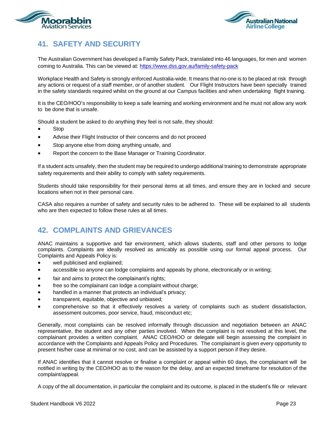<span id="page-22-0"></span>



# **41. SAFETY AND SECURITY**

The Australian Government has developed a Family Safety Pack, translated into 46 languages, for men and women coming to Australia. This can be viewed at: <https://www.dss.gov.au/family-safety-pack>

Workplace Health and Safety is strongly enforced Australia-wide. It means that no-one is to be placed at risk through any actions or request of a staff member, or of another student. Our Flight Instructors have been specially trained in the safety standards required whilst on the ground at our Campus facilities and when undertaking flight training.

It is the CEO/HOO's responsibility to keep a safe learning and working environment and he must not allow any work to be done that is unsafe.

Should a student be asked to do anything they feel is not safe, they should:

- **Stop**
- Advise their Flight Instructor of their concerns and do not proceed
- Stop anyone else from doing anything unsafe, and
- Report the concern to the Base Manager or Training Coordinator.

If a student acts unsafely, then the student may be required to undergo additional training to demonstrate appropriate safety requirements and their ability to comply with safety requirements.

Students should take responsibility for their personal items at all times, and ensure they are in locked and secure locations when not in their personal care.

CASA also requires a number of safety and security rules to be adhered to. These will be explained to all students who are then expected to follow these rules at all times.

#### <span id="page-22-1"></span>**42. COMPLAINTS AND GRIEVANCES**

ANAC maintains a supportive and fair environment, which allows students, staff and other persons to lodge complaints. Complaints are ideally resolved as amicably as possible using our formal appeal process. Our Complaints and Appeals Policy is:

- well publicised and explained;
- accessible so anyone can lodge complaints and appeals by phone, electronically or in writing;
- fair and aims to protect the complainant's rights;
- free so the complainant can lodge a complaint without charge;
- handled in a manner that protects an individual's privacy;
- transparent, equitable, objective and unbiased;
- comprehensive so that it effectively resolves a variety of complaints such as student dissatisfaction, assessment outcomes, poor service, fraud, misconduct etc;

Generally, most complaints can be resolved informally through discussion and negotiation between an ANAC representative, the student and any other parties involved. When the complaint is not resolved at this level, the complainant provides a written complaint. ANAC CEO/HOO or delegate will begin assessing the complaint in accordance with the Complaints and Appeals Policy and Procedures. The complainant is given every opportunity to present his/her case at minimal or no cost, and can be assisted by a support person if they desire.

If ANAC identifies that it cannot resolve or finalise a complaint or appeal within 60 days, the complainant will be notified in writing by the CEO/HOO as to the reason for the delay, and an expected timeframe for resolution of the complaint/appeal.

A copy of the all documentation, in particular the complaint and its outcome, is placed in the student's file or relevant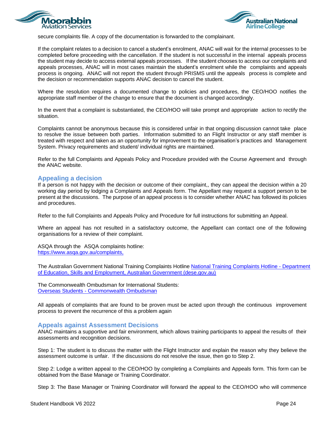



secure complaints file. A copy of the documentation is forwarded to the complainant.

If the complaint relates to a decision to cancel a student's enrolment, ANAC will wait for the internal processes to be completed before proceeding with the cancellation. If the student is not successful in the internal appeals process the student may decide to access external appeals processes. If the student chooses to access our complaints and appeals processes, ANAC will in most cases maintain the student's enrolment while the complaints and appeals process is ongoing. ANAC will not report the student through PRISMS until the appeals process is complete and the decision or recommendation supports ANAC decision to cancel the student.

Where the resolution requires a documented change to policies and procedures, the CEO/HOO notifies the appropriate staff member of the change to ensure that the document is changed accordingly.

In the event that a complaint is substantiated, the CEO/HOO will take prompt and appropriate action to rectify the situation.

Complaints cannot be anonymous because this is considered unfair in that ongoing discussion cannot take place to resolve the issue between both parties. Information submitted to an Flight Instructor or any staff member is treated with respect and taken as an opportunity for improvement to the organisation's practices and Management System. Privacy requirements and student/ individual rights are maintained.

Refer to the full Complaints and Appeals Policy and Procedure provided with the Course Agreement and through the ANAC website.

#### <span id="page-23-0"></span>**Appealing a decision**

If a person is not happy with the decision or outcome of their complaint,, they can appeal the decision within a 20 working day period by lodging a Complaints and Appeals form. The Appellant may request a support person to be present at the discussions. The purpose of an appeal process is to consider whether ANAC has followed its policies and procedures.

Refer to the full Complaints and Appeals Policy and Procedure for full instructions for submitting an Appeal.

Where an appeal has not resulted in a satisfactory outcome, the Appellant can contact one of the following organisations for a review of their complaint.

ASQA through the ASQA complaints hotline: [https://www.asqa.gov.au/complaints,](https://www.asqa.gov.au/complaints)

The Australian Government National Training Complaints Hotline [National Training Complaints Hotline -](https://www.dese.gov.au/national-training-complaints-hotline) Department [of Education, Skills and Employment, Australian Government \(dese.gov.au\)](https://www.dese.gov.au/national-training-complaints-hotline)

The Commonwealth Ombudsman for International Students: Overseas Students - [Commonwealth Ombudsman](https://www.ombudsman.gov.au/How-we-can-help/overseas-students)

All appeals of complaints that are found to be proven must be acted upon through the continuous improvement process to prevent the recurrence of this a problem again

#### <span id="page-23-1"></span>**Appeals against Assessment Decisions**

ANAC maintains a supportive and fair environment, which allows training participants to appeal the results of their assessments and recognition decisions.

Step 1: The student is to discuss the matter with the Flight Instructor and explain the reason why they believe the assessment outcome is unfair. If the discussions do not resolve the issue, then go to Step 2.

Step 2: Lodge a written appeal to the CEO/HOO by completing a Complaints and Appeals form. This form can be obtained from the Base Manage or Training Coordinator.

Step 3: The Base Manager or Training Coordinator will forward the appeal to the CEO/HOO who will commence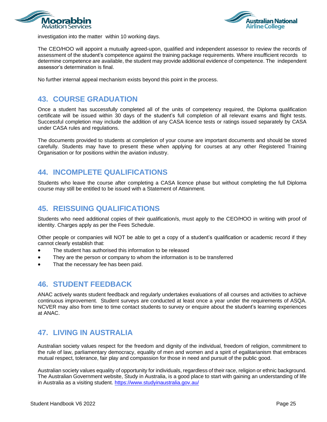



investigation into the matter within 10 working days.

The CEO/HOO will appoint a mutually agreed-upon, qualified and independent assessor to review the records of assessment of the student's competence against the training package requirements. Where insufficient records to determine competence are available, the student may provide additional evidence of competence. The independent assessor's determination is final.

No further internal appeal mechanism exists beyond this point in the process.

# <span id="page-24-0"></span>**43. COURSE GRADUATION**

Once a student has successfully completed all of the units of competency required, the Diploma qualification certificate will be issued within 30 days of the student's full completion of all relevant exams and flight tests. Successful completion may include the addition of any CASA licence tests or ratings issued separately by CASA under CASA rules and regulations.

The documents provided to students at completion of your course are important documents and should be stored carefully. Students may have to present these when applying for courses at any other Registered Training Organisation or for positions within the aviation industry.

#### <span id="page-24-1"></span>**44. INCOMPLETE QUALIFICATIONS**

Students who leave the course after completing a CASA licence phase but without completing the full Diploma course may still be entitled to be issued with a Statement of Attainment.

# <span id="page-24-2"></span>**45. REISSUING QUALIFICATIONS**

Students who need additional copies of their qualification/s, must apply to the CEO/HOO in writing with proof of identity. Charges apply as per the Fees Schedule.

Other people or companies will NOT be able to get a copy of a student's qualification or academic record if they cannot clearly establish that:

- The student has authorised this information to be released
- They are the person or company to whom the information is to be transferred
- That the necessary fee has been paid.

#### <span id="page-24-3"></span>**46. STUDENT FEEDBACK**

ANAC actively wants student feedback and regularly undertakes evaluations of all courses and activities to achieve continuous improvement. Student surveys are conducted at least once a year under the requirements of ASQA. NCVER may also from time to time contact students to survey or enquire about the student's learning experiences at ANAC.

#### <span id="page-24-4"></span>**47. LIVING IN AUSTRALIA**

Australian society values respect for the freedom and dignity of the individual, freedom of religion, commitment to the rule of law, parliamentary democracy, equality of men and women and a spirit of egalitarianism that embraces mutual respect, tolerance, fair play and compassion for those in need and pursuit of the public good.

Australian society values equality of opportunity for individuals, regardless of their race, religion or ethnic background. The Australian Government website, Study in Australia, is a good place to start with gaining an understanding of life in Australia as a visiting student. <https://www.studyinaustralia.gov.au/>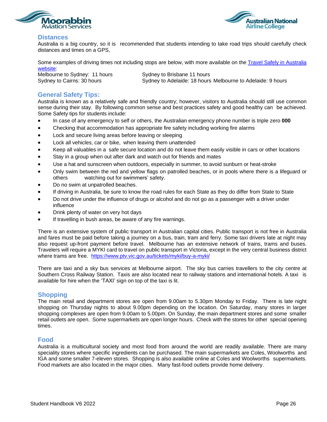<span id="page-25-0"></span>



#### **Distances**

Australia is a big country, so it is recommended that students intending to take road trips should carefully check distances and times on a GPS,

Some examples of driving times not including stops are below, with more available on the Travel Safely in [Australia](https://www.infrastructure.gov.au/infrastructure-transport-vehicles/road-transport-infrastructure/safety/publications/2006/travelsafe_map) [website:](https://www.infrastructure.gov.au/infrastructure-transport-vehicles/road-transport-infrastructure/safety/publications/2006/travelsafe_map)

Melbourne to Sydney: 11 hours Sydney to Brisbane 11 hours Sydney to Cairns: 30 hours Sydney to Adelaide: 18 hours Melbourne to Adelaide: 9 hours

#### <span id="page-25-1"></span>**General Safety Tips:**

Australia is known as a relatively safe and friendly country; however, visitors to Australia should still use common sense during their stay. By following common sense and best practices safety and good healthy can be achieved. Some Safety tips for students include:

- In case of any emergency to self or others, the Australian emergency phone number is triple zero **000**
- Checking that accommodation has appropriate fire safety including working fire alarms
- Lock and secure living areas before leaving or sleeping
- Lock all vehicles, car or bike, when leaving them unattended
- Keep all valuables in a safe secure location and do not leave them easily visible in cars or other locations
- Stay in a group when out after dark and watch out for friends and mates
- Use a hat and sunscreen when outdoors, especially in summer, to avoid sunburn or heat-stroke
- Only swim between the red and yellow flags on patrolled beaches, or in pools where there is a lifeguard or others watching out for swimmers' safety.
- Do no swim at unpatrolled beaches.
- If driving in Australia, be sure to know the road rules for each State as they do differ from State to State
- Do not drive under the influence of drugs or alcohol and do not go as a passenger with a driver under influence
- Drink plenty of water on very hot days
- If travelling in bush areas, be aware of any fire warnings.

There is an extensive system of public transport in Australian capital cities. Public transport is not free in Australia and fares must be paid before taking a journey on a bus, train, tram and ferry. Some taxi drivers late at night may also request up-front payment before travel. Melbourne has an extensive network of trains, trams and buses. Travelers will require a MYKI card to travel on public transport in Victoria, except in the very central business district where trams are free. <https://www.ptv.vic.gov.au/tickets/myki/buy-a-myki/>

There are taxi and a sky bus services at Melbourne airport. The sky bus carries travellers to the city centre at Southern Cross Railway Station. Taxis are also located near to railway stations and international hotels. A taxi is available for hire when the 'TAXI' sign on top of the taxi is lit.

#### <span id="page-25-2"></span>**Shopping**

The main retail and department stores are open from 9.00am to 5.30pm Monday to Friday. There is late night shopping on Thursday nights to about 9.00pm depending on the location. On Saturday, many stores in larger shopping complexes are open from 9.00am to 5.00pm. On Sunday, the main department stores and some smaller retail outlets are open. Some supermarkets are open longer hours. Check with the stores for other special opening times.

#### <span id="page-25-3"></span>**Food**

Australia is a multicultural society and most food from around the world are readily available. There are many speciality stores where specific ingredients can be purchased. The main supermarkets are Coles, Woolworths and IGA and some smaller 7-eleven stores. Shopping is also available online at Coles and Woolworths supermarkets. Food markets are also located in the major cities. Many fast-food outlets provide home delivery.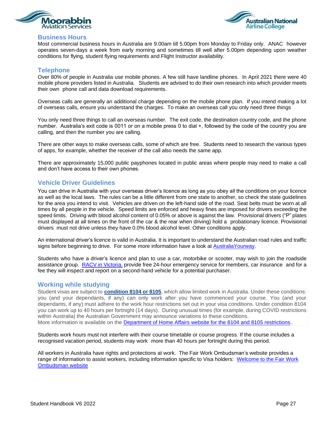<span id="page-26-0"></span>



#### **Business Hours**

Most commercial business hours in Australia are 9.00am till 5.00pm from Monday to Friday only. ANAC however operates seven-days a week from early morning and sometimes till well after 5.00pm depending upon weather conditions for flying, student flying requirements and Flight Instructor availability.

#### <span id="page-26-1"></span>**Telephone**

Over 80% of people in Australia use mobile phones. A few still have landline phones. In April 2021 there were 40 mobile phone providers listed in Australia. Students are advised to do their own research into which provider meets their own phone call and data download requirements.

Overseas calls are generally an additional charge depending on the mobile phone plan. If you intend making a lot of overseas calls, ensure you understand the charges. To make an overseas call you only need three things

You only need three things to call an overseas number. The exit code, the destination country code, and the phone number. Australia's exit code is 0011 or on a mobile press 0 to dial +, followed by the code of the country you are calling, and then the number you are calling.

There are other ways to make overseas calls, some of which are free. Students need to research the various types of apps, for example, whether the receiver of the call also needs the same app.

There are approximately 15,000 public payphones located in public areas where people may need to make a call and don't have access to their own phones.

#### <span id="page-26-2"></span>**Vehicle Driver Guidelines**

You can drive in Australia with your overseas driver's licence as long as you obey all the conditions on your licence as well as the local laws. The rules can be a little different from one state to another, so check the state guidelines for the area you intend to visit. Vehicles are driven on the left-hand side of the road. Seat belts must be worn at all times by all people in the vehicle. Speed limits are enforced and heavy fines are imposed for drivers exceeding the speed limits. Driving with blood alcohol content of 0.05% or above is against the law. Provisional drivers ("P" plates must displayed at all times on the front of the car & the rear when driving) hold a probationary licence. Provisional drivers must not drive unless they have 0.0% blood alcohol level. Other conditions apply.

An international driver's licence is valid in Australia. It is important to understand the Australian road rules and traffic signs before beginning to drive. For some more information have a look at [AustraliaYourway.](https://australiayourway.com/driving-in-australia/)

Students who have a driver's licence and plan to use a car, motorbike or scooter, may wish to join the roadside assistance group. RACV in [Victoria.](https://www.racv.com.au/?&cmpid=mem:members:sem&gclid=CMPGwpTHkvMCFQbBjgodKXsDUA&gclsrc=ds) provide free 24-hour emergency service for members, car insurance and for a fee they will inspect and report on a second-hand vehicle for a potential purchaser.

#### <span id="page-26-3"></span>**Working while studying**

Student visas are subject to **[condition](https://immi.homeaffairs.gov.au/visas/already-have-a-visa/check-visa-details-and-conditions/see-your-visa-conditions) 8104 or 8105**, which allow limited work in Australia. Under these conditions: you (and your dependants, if any) can only work after you have commenced your course. You (and your dependants, if any) must adhere to the work hour restrictions set out in your visa conditions. Under condition 8104 you can work up to 40 hours per fortnight (14 days). During unusual times (for example, during COVID restrictions within Australia) the Australian Government may announce variations to these conditions. More information is available on the [Department of Home Affairs website for the 8104](https://immi.homeaffairs.gov.au/visas/already-have-a-visa/check-visa-details-and-conditions/see-your-visa-conditions) and 8105 restrictions..

Students work hours must not interfere with their course timetable or course progress. If the course includes a recognised vacation period, students may work more than 40 hours per fortnight during this period.

All workers in Australia have rights and protections at work. The Fair Work Ombudsman's website provides a range of information to assist workers, including information specific to Visa holders: [Welcome to the Fair Work](https://www.fairwork.gov.au/)  [Ombudsman website](https://www.fairwork.gov.au/)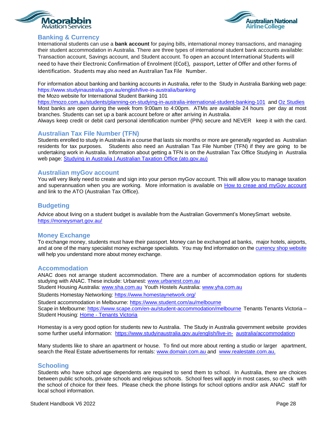<span id="page-27-0"></span>



#### **Banking & Currency**

International students can use a **bank account** for paying bills, international money transactions, and managing their student accommodation in Australia. There are three types of international student bank accounts available: Transaction account, Savings account, and Student account. To open an account International Students will need to have their Electronic Confirmation of Enrolment (ECoE), passport, Letter of Offer and other forms of identification. Students may also need an Australian Tax File Number.

For information about banking and banking accounts in Australia, refer to the Study in Australia Banking web page: <https://www.studyinaustralia.gov.au/english/live-in-australia/banking>

the Mozo website for International Student Banking 101

<https://mozo.com.au/students/planning-on-studying-in-australia-international-student-banking-101> and [Oz Studies](https://www.ozstudies.com/blog/study-australia/tips-on-international-student-banking-in-australia#:~:text=International%20students%20can%20use%20a%20bank%20account%20for,available%3A%20Transaction%20account%2C%20Savings%20account%2C%20and%20Student%20account.) Most banks are open during the week from 9:00am to 4:00pm. ATMs are available 24 hours per day at most branches. Students can set up a bank account before or after arriving in Australia.

Always keep credit or debit card personal identification number (PIN) secure and NEVER keep it with the card.

#### <span id="page-27-1"></span>**Australian Tax File Number (TFN)**

Students enrolled to study in Australia in a course that lasts six months or more are generally regarded as Australian residents for tax purposes. Students also need an Australian Tax File Number (TFN) if they are going to be undertaking work in Australia. Information about getting a TFN is on the Australian Tax Office Studying in Australia web page: Studying in Australia | Australian Taxation Office (ato.gov.au)

#### <span id="page-27-2"></span>**Australian myGov account**

You will very likely need to create and sign into your person myGov account. This will allow you to manage taxation and superannuation when you are working. More information is available on [How to creae and myGov](https://tv.ato.gov.au/ato-tv/media?v=bd1bdiubfo8e4m) account and link to the ATO (Australian Tax Office).

#### <span id="page-27-3"></span>**Budgeting**

Advice about living on a student budget is available from the Australian Government's [MoneySmart](http://www.moneysmart.gov.au/) website. <https://moneysmart.gov.au/>

#### <span id="page-27-4"></span>**Money Exchange**

To exchange money, students must have their passport. Money can be exchanged at banks, major hotels, airports, and at one of the many specialist money exchange specialists. You may find information on the [currency shop website](https://www.thecurrencyshop.com.au/currency-exchange) will help you understand more about money exchange.

#### <span id="page-27-5"></span>**Accommodation**

ANAC does not arrange student accommodation. There are a number of accommodation options for students studying with ANAC. These include: Urbanest: [www.urbanest.com.au](http://www.urbanest.com.au/)

Student Housing Australia: [www.sha.com.au](http://www.sha.com.au/) Youth Hostels Australia: [www.yha.com.au](http://www.yha.com.au/)

Students Homestay Networking: <https://www.homestaynetwork.org/>

Student accommodation in Melbourne: <https://www.student.com/au/melbourne> Scape in Melbourne: <https://www.scape.com/en-au/student-accommodation/melbourne> Tenants Tenants Victoria – Student Housing: Home - [Tenants Victoria](https://tenantsvic.org.au/)

Homestay is a very good option for students new to Australia. The Study in Australia government website provides some further useful information: [https://www.studyinaustralia.gov.au/english/live-in-](https://www.studyinaustralia.gov.au/english/live-in-australia/accommodation) [australia/accommodation](https://www.studyinaustralia.gov.au/english/live-in-australia/accommodation)

Many students like to share an apartment or house. To find out more about renting a studio or larger apartment, search the Real Estate advertisements for rentals: [www.domain.com.au](http://www.domain.com.au/) and [www.realestate.com.au,](http://www.realestate.com.au/)

#### <span id="page-27-6"></span>**Schooling**

Students who have school age dependents are required to send them to school. In Australia, there are choices between public schools, private schools and religious schools. School fees will apply in most cases, so check with the school of choice for their fees. Please check the phone listings for school options and/or ask ANAC staff for local school information.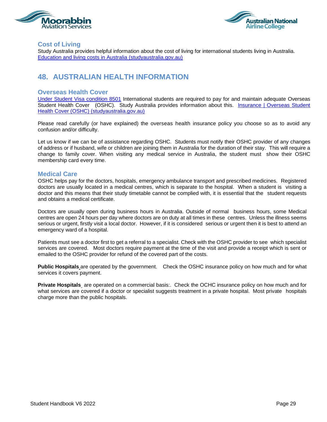<span id="page-28-0"></span>



#### **Cost of Living**

Study Australia provides helpful information about the cost of living for international students living in Australia. [Education and living costs in Australia \(studyaustralia.gov.au\)](https://www.studyaustralia.gov.au/english/live-in-australia/living-costs)

# <span id="page-28-1"></span>**48. AUSTRALIAN HEALTH INFORMATION**

#### <span id="page-28-2"></span>**Overseas Health Cover**

[Under Student Visa condition 8501](https://immi.homeaffairs.gov.au/visas/already-have-a-visa/check-visa-details-and-conditions/see-your-visa-conditions?product=500) International students are required to pay for and maintain adequate Overseas Student Health Cover (OSHC). Study Australia provides information about this. [Insurance | Overseas Student](https://www.studyaustralia.gov.au/english/live-in-australia/insurance#:~:text=Overseas%20Student%20Health%20Cover%20International%20students%20undertaking%20formal,hospital%20treatment%2C%20ambulance%20cover%20and%20limited%20pharmaceuticals%20%28medicines%29.)  [Health Cover \(OSHC\) \(studyaustralia.gov.au\)](https://www.studyaustralia.gov.au/english/live-in-australia/insurance#:~:text=Overseas%20Student%20Health%20Cover%20International%20students%20undertaking%20formal,hospital%20treatment%2C%20ambulance%20cover%20and%20limited%20pharmaceuticals%20%28medicines%29.)

Please read carefully (or have explained) the overseas health insurance policy you choose so as to avoid any confusion and/or difficulty.

Let us know if we can be of assistance regarding OSHC. Students must notify their OSHC provider of any changes of address or if husband, wife or children are joining them in Australia for the duration of their stay. This will require a change to family cover. When visiting any medical service in Australia, the student must show their OSHC membership card every time.

#### <span id="page-28-3"></span>**Medical Care**

OSHC helps pay for the doctors, hospitals, emergency ambulance transport and prescribed medicines. Registered doctors are usually located in a medical centres, which is separate to the hospital. When a student is visiting a doctor and this means that their study timetable cannot be complied with, it is essential that the student requests and obtains a medical certificate.

Doctors are usually open during business hours in Australia. Outside of normal business hours, some Medical centres are open 24 hours per day where doctors are on duty at all times in these centres. Unless the illness seems serious or urgent, firstly visit a local doctor. However, if it is considered serious or urgent then it is best to attend an emergency ward of a hospital.

Patients must see a doctor first to get a referral to a specialist. Check with the OSHC provider to see which specialist services are covered. Most doctors require payment at the time of the visit and provide a receipt which is sent or emailed to the OSHC provider for refund of the covered part of the costs.

**Public Hospitals** are operated by the government. Check the OSHC insurance policy on how much and for what services it covers payment.

**Private Hospitals** are operated on a commercial basis:. Check the OCHC insurance policy on how much and for what services are covered if a doctor or specialist suggests treatment in a private hospital. Most private hospitals charge more than the public hospitals.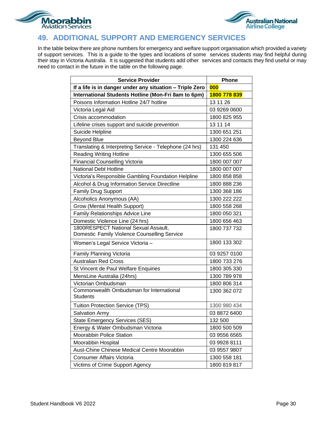<span id="page-29-0"></span>



# **49. ADDITIONAL SUPPORT AND EMERGENCY SERVICES**

In the table below there are phone numbers for emergency and welfare support organisation which provided a variety of support services. This is a guide to the types and locations of some services students may find helpful during their stay in Victoria Australia. It is suggested that students add other services and contacts they find useful or may need to contact in the future in the table on the following page.

| <b>Service Provider</b>                                     | <b>Phone</b> |
|-------------------------------------------------------------|--------------|
| If a life is in danger under any situation - Triple Zero    | 000          |
| International Students Hotline (Mon-Fri 8am to 6pm)         | 1800 778 839 |
| Poisons Information Hotline 24/7 hotline                    | 13 11 26     |
| Victoria Legal Aid                                          | 03 9269 0600 |
| Crisis accommodation                                        | 1800 825 955 |
| Lifeline crises support and suicide prevention              | 13 11 14     |
| Suicide Helpline                                            | 1300 651 251 |
| <b>Beyond Blue</b>                                          | 1300 224 636 |
| Translating & Interpreting Service - Telephone (24 hrs)     | 131 450      |
| <b>Reading Writing Hotline</b>                              | 1300 655 506 |
| <b>Financial Counselling Victoria</b>                       | 1800 007 007 |
| <b>National Debt Hotline</b>                                | 1800 007 007 |
| Victoria's Responsible Gambling Foundation Helpline         | 1800 858 858 |
| Alcohol & Drug Information Service Directline               | 1800 888 236 |
| <b>Family Drug Support</b>                                  | 1300 368 186 |
| Alcoholics Anonymous (AA)                                   | 1300 222 222 |
| Grow (Mental Health Support)                                | 1800 558 268 |
| Family Relationships Advice Line                            | 1800 050 321 |
| Domestic Violence Line (24 hrs)                             | 1800 656 463 |
| 1800RESPECT National Sexual Assault,                        | 1800 737 732 |
| Domestic Family Violence Counselling Service                |              |
| Women's Legal Service Victoria -                            | 1800 133 302 |
| Family Planning Victoria                                    | 03 9257 0100 |
| <b>Australian Red Cross</b>                                 | 1800 733 276 |
| St Vincent de Paul Welfare Enquiries                        | 1800 305 330 |
| MensLine Australia (24hrs)                                  | 1300 789 978 |
| Victorian Ombudsman                                         | 1800 806 314 |
| Commonwealth Ombudsman for International<br><b>Students</b> | 1300 362 072 |
| <b>Tuition Protection Service (TPS)</b>                     | 1300 980 434 |
| <b>Salvation Army</b>                                       | 03 8872 6400 |
| <b>State Emergency Services (SES)</b>                       | 132 500      |
| Energy & Water Ombudsman Victoria                           | 1800 500 509 |
| Moorabbin Police Station                                    | 03 9556 6565 |
| Moorabbin Hospital                                          | 03 9928 8111 |
| Aust-Chine Chinese Medical Centre Moorabbin                 | 03 9557 9807 |
| Consumer Affairs Victoria                                   | 1300 558 181 |
| Victims of Crime Support Agency                             | 1800 819 817 |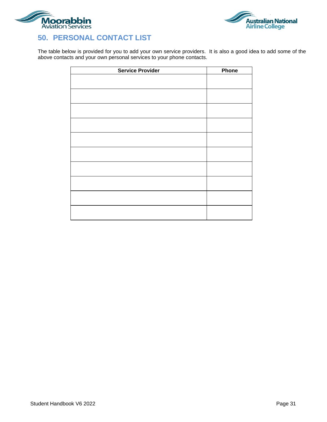<span id="page-30-0"></span>



The table below is provided for you to add your own service providers. It is also a good idea to add some of the above contacts and your own personal services to your phone contacts.

| <b>Service Provider</b> | Phone |
|-------------------------|-------|
|                         |       |
|                         |       |
|                         |       |
|                         |       |
|                         |       |
|                         |       |
|                         |       |
|                         |       |
|                         |       |
|                         |       |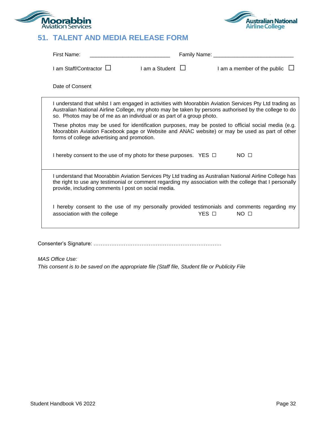<span id="page-31-0"></span>



# **51. TALENT AND MEDIA RELEASE FORM**

| First Name:                                                                                                                                                                                                                                                                               |                         | Family Name: ________ |                                         |
|-------------------------------------------------------------------------------------------------------------------------------------------------------------------------------------------------------------------------------------------------------------------------------------------|-------------------------|-----------------------|-----------------------------------------|
| I am Staff/Contractor L                                                                                                                                                                                                                                                                   | $I$ am a Student $\Box$ |                       | $\Box$ am a member of the public $\Box$ |
| Date of Consent                                                                                                                                                                                                                                                                           |                         |                       |                                         |
| I understand that whilst I am engaged in activities with Moorabbin Aviation Services Pty Ltd trading as<br>Australian National Airline College, my photo may be taken by persons authorised by the college to do<br>so. Photos may be of me as an individual or as part of a group photo. |                         |                       |                                         |
| These photos may be used for identification purposes, may be posted to official social media (e.g.<br>Moorabbin Aviation Facebook page or Website and ANAC website) or may be used as part of other<br>forms of college advertising and promotion.                                        |                         |                       |                                         |
| I hereby consent to the use of my photo for these purposes. YES □                                                                                                                                                                                                                         |                         |                       | NO <sub>1</sub>                         |
| I understand that Moorabbin Aviation Services Pty Ltd trading as Australian National Airline College has<br>the right to use any testimonial or comment regarding my association with the college that I personally<br>provide, including comments I post on social media.                |                         |                       |                                         |
| I hereby consent to the use of my personally provided testimonials and comments regarding my<br>association with the college                                                                                                                                                              |                         | YES O                 | NO <sub>1</sub>                         |
|                                                                                                                                                                                                                                                                                           |                         |                       |                                         |

Consenter's Signature: ………………………………………………………………

*MAS Office Use:* 

*This consent is to be saved on the appropriate file (Staff file, Student file or Publicity File*